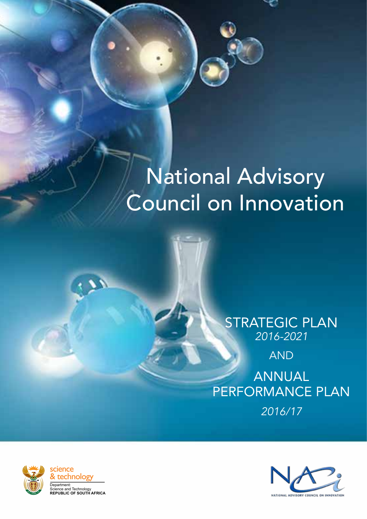# National Advisory Council on Innovation

### STRATEGIC PLAN *2016-2021*

AND

ANNUAL PERFORMANCE Plan *2016/17*



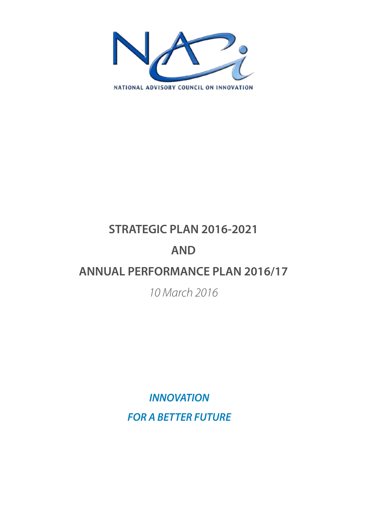

## **STRATEGIC PLAN 2016-2021**

## **AND**

## **ANNUAL PERFORMANCE PLAN 2016/17**

### *10 March 2016*

*INNOVATION FOR A BETTER FUTURE*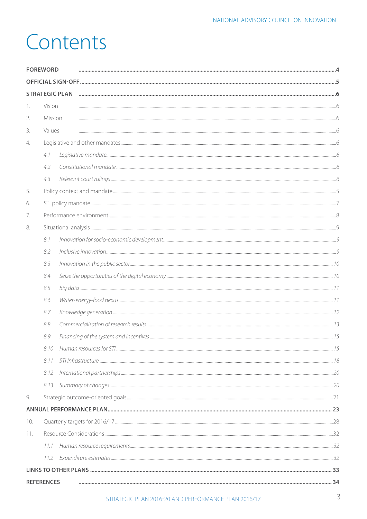## Contents

| <b>FOREWORD</b> |                   |                       |  |
|-----------------|-------------------|-----------------------|--|
|                 |                   |                       |  |
|                 |                   | <b>STRATEGIC PLAN</b> |  |
| 1.              | Vision            |                       |  |
| 2.              | Mission           |                       |  |
| 3.              | Values            |                       |  |
| 4.              |                   |                       |  |
|                 | 4.1               |                       |  |
|                 | 4.2               |                       |  |
|                 | 4.3               |                       |  |
| 5.              |                   |                       |  |
| 6.              |                   |                       |  |
| 7.              |                   |                       |  |
| 8.              |                   |                       |  |
|                 | 8.1               |                       |  |
|                 | 8.2               |                       |  |
|                 | 8.3               |                       |  |
|                 | 8.4               |                       |  |
|                 | 8.5               |                       |  |
|                 | 8.6               |                       |  |
|                 | 8.7               |                       |  |
|                 | 8.8               |                       |  |
|                 | 8.9               |                       |  |
|                 | 8.10              |                       |  |
|                 | 8.11              |                       |  |
|                 | 8.12              |                       |  |
|                 | 8.13              |                       |  |
| 9.              |                   |                       |  |
|                 |                   |                       |  |
| 10.             |                   |                       |  |
| 11.             |                   |                       |  |
|                 | 11.1              |                       |  |
|                 | 11.2              |                       |  |
|                 |                   |                       |  |
|                 | <b>REFERENCES</b> |                       |  |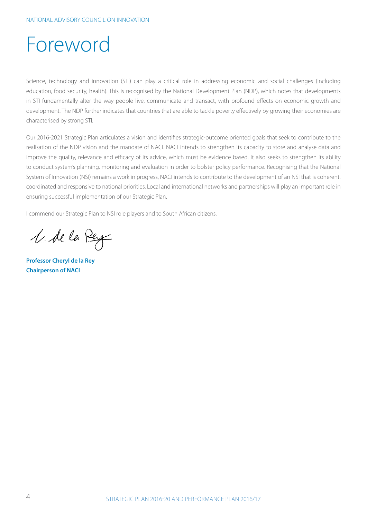## Foreword

Science, technology and innovation (STI) can play a critical role in addressing economic and social challenges (including education, food security, health). This is recognised by the National Development Plan (NDP), which notes that developments in STI fundamentally alter the way people live, communicate and transact, with profound effects on economic growth and development. The NDP further indicates that countries that are able to tackle poverty effectively by growing their economies are characterised by strong STI.

Our 2016-2021 Strategic Plan articulates a vision and identifies strategic-outcome oriented goals that seek to contribute to the realisation of the NDP vision and the mandate of NACI. NACI intends to strengthen its capacity to store and analyse data and improve the quality, relevance and efficacy of its advice, which must be evidence based. It also seeks to strengthen its ability to conduct system's planning, monitoring and evaluation in order to bolster policy performance. Recognising that the National System of Innovation (NSI) remains a work in progress, NACI intends to contribute to the development of an NSI that is coherent, coordinated and responsive to national priorities. Local and international networks and partnerships will play an important role in ensuring successful implementation of our Strategic Plan.

I commend our Strategic Plan to NSI role players and to South African citizens.

V. de la Pey

**Professor Cheryl de la Rey Chairperson of NACI**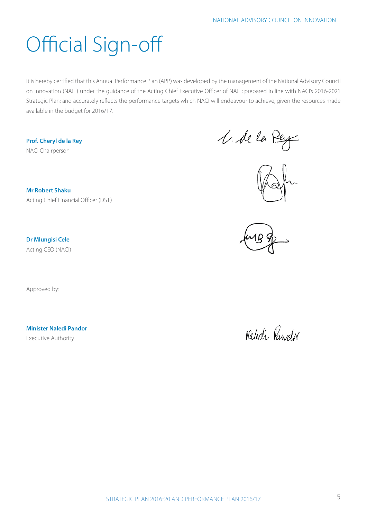# Official Sign-off

It is hereby certified that this Annual Performance Plan (APP) was developed by the management of the National Advisory Council on Innovation (NACI) under the guidance of the Acting Chief Executive Officer of NACI; prepared in line with NACI's 2016-2021 Strategic Plan; and accurately reflects the performance targets which NACI will endeavour to achieve, given the resources made available in the budget for 2016/17.

**Prof. Cheryl de la Rey** NACI Chairperson

1. de la Pey





**Dr Mlungisi Cele** Acting CEO (NACI)

**Mr Robert Shaku** 

Acting Chief Financial Officer (DST)

Approved by:

**Minister Naledi Pandor**

Executive Authority

Naledi Pawdor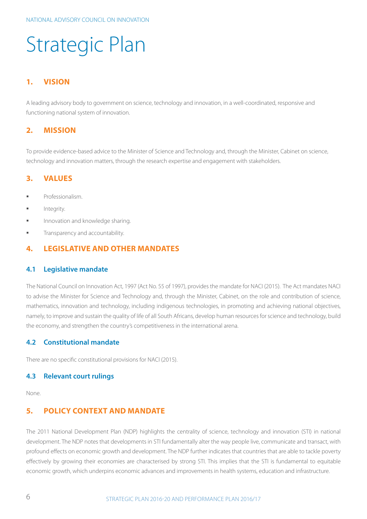## Strategic Plan

#### **1. Vision**

A leading advisory body to government on science, technology and innovation, in a well-coordinated, responsive and functioning national system of innovation.

#### **2. Mission**

To provide evidence-based advice to the Minister of Science and Technology and, through the Minister, Cabinet on science, technology and innovation matters, through the research expertise and engagement with stakeholders.

#### **3. Values**

- § Professionalism.
- **■** Integrity.
- **■** Innovation and knowledge sharing.
- **■** Transparency and accountability.

#### **4. Legislative and other mandates**

#### **4.1 Legislative mandate**

The National Council on Innovation Act, 1997 (Act No. 55 of 1997), provides the mandate for NACI (2015). The Act mandates NACI to advise the Minister for Science and Technology and, through the Minister, Cabinet, on the role and contribution of science, mathematics, innovation and technology, including indigenous technologies, in promoting and achieving national objectives, namely, to improve and sustain the quality of life of all South Africans, develop human resources for science and technology, build the economy, and strengthen the country's competitiveness in the international arena.

#### **4.2 Constitutional mandate**

There are no specific constitutional provisions for NACI (2015).

#### **4.3 Relevant court rulings**

None.

#### **5. Policy context and mandate**

The 2011 National Development Plan (NDP) highlights the centrality of science, technology and innovation (STI) in national development. The NDP notes that developments in STI fundamentally alter the way people live, communicate and transact, with profound effects on economic growth and development. The NDP further indicates that countries that are able to tackle poverty effectively by growing their economies are characterised by strong STI. This implies that the STI is fundamental to equitable economic growth, which underpins economic advances and improvements in health systems, education and infrastructure.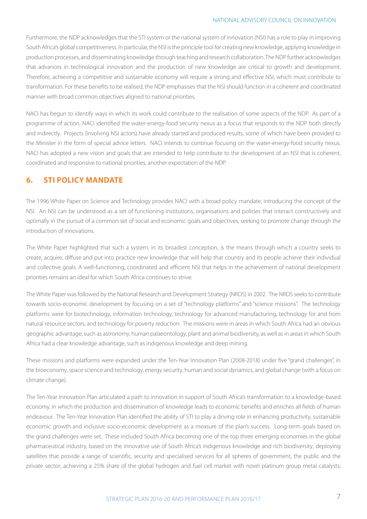Furthermore, the NDP acknowledges that the STI system or the national system of innovation (NSI) has a role to play in improving South Africa's global competitiveness. In particular, the NSI is the principle tool for creating new knowledge, applying knowledge in production processes, and disseminating knowledge through teaching and research collaboration. The NDP further acknowledges that advances in technological innovation and the production of new knowledge are critical to growth and development. Therefore, achieving a competitive and sustainable economy will require a strong and effective NSI, which must contribute to transformation. For these benefits to be realised, the NDP emphasises that the NSI should function in a coherent and coordinated manner with broad common objectives aligned to national priorities.

NACI has begun to identify ways in which its work could contribute to the realisation of some aspects of the NDP. As part of a programme of action, NACI identified the water-energy-food security nexus as a focus that responds to the NDP both directly and indirectly. Projects (involving NSI actors) have already started and produced results, some of which have been provided to the Minister in the form of special advice letters. NACI intends to continue focusing on the water-energy-food security nexus. NACI has adopted a new vision and goals that are intended to help contribute to the development of an NSI that is coherent, coordinated and responsive to national priorities, another expectation of the NDP.

#### **6. STI policy mandate**

The 1996 White Paper on Science and Technology provides NACI with a broad policy mandate, introducing the concept of the NSI. An NSI can be understood as a set of functioning institutions, organisations and policies that interact constructively and optimally in the pursuit of a common set of social and economic goals and objectives, seeking to promote change through the introduction of innovations.

The White Paper highlighted that such a system, in its broadest conception, is the means through which a country seeks to create, acquire, diffuse and put into practice new knowledge that will help that country and its people achieve their individual and collective goals. A well-functioning, coordinated and efficient NSI that helps in the achievement of national development priorities remains an ideal for which South Africa continues to strive.

The White Paper was followed by the National Research and Development Strategy (NRDS) in 2002. The NRDS seeks to contribute towards socio-economic development by focusing on a set of "technology platforms" and "science missions". The technology platforms were for biotechnology, information technology, technology for advanced manufacturing, technology for and from natural resource sectors, and technology for poverty reduction. The missions were in areas in which South Africa had an obvious geographic advantage, such as astronomy, human palaeontology, plant and animal biodiversity, as well as in areas in which South Africa had a clear knowledge advantage, such as indigenous knowledge and deep mining.

These missions and platforms were expanded under the Ten-Year Innovation Plan (2008-2018) under five "grand challenges", in the bioeconomy, space science and technology, energy security, human and social dynamics, and global change (with a focus on climate change).

The Ten-Year Innovation Plan articulated a path to innovation in support of South Africa's transformation to a knowledge-based economy, in which the production and dissemination of knowledge leads to economic benefits and enriches all fields of human endeavour. The Ten-Year Innovation Plan identified the ability of STI to play a driving role in enhancing productivity, sustainable economic growth and inclusive socio-economic development as a measure of the plan's success. Long-term goals based on the grand challenges were set. These included South Africa becoming one of the top three emerging economies in the global pharmaceutical industry, based on the innovative use of South Africa's indigenous knowledge and rich biodiversity; deploying satellites that provide a range of scientific, security and specialised services for all spheres of government, the public and the private sector; achieving a 25% share of the global hydrogen and fuel cell market with novel platinum group metal catalysts;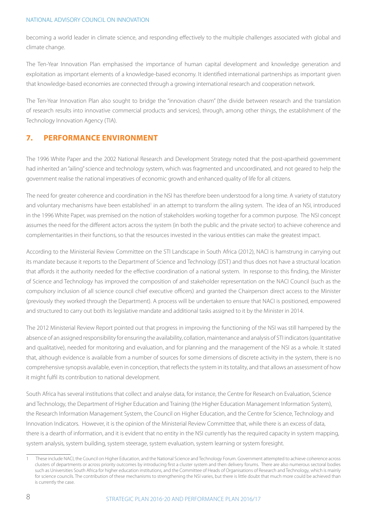becoming a world leader in climate science, and responding effectively to the multiple challenges associated with global and climate change.

The Ten-Year Innovation Plan emphasised the importance of human capital development and knowledge generation and exploitation as important elements of a knowledge-based economy. It identified international partnerships as important given that knowledge-based economies are connected through a growing international research and cooperation network.

The Ten-Year Innovation Plan also sought to bridge the "innovation chasm" (the divide between research and the translation of research results into innovative commercial products and services), through, among other things, the establishment of the Technology Innovation Agency (TIA).

#### **7. Performance environment**

The 1996 White Paper and the 2002 National Research and Development Strategy noted that the post-apartheid government had inherited an "ailing" science and technology system, which was fragmented and uncoordinated, and not geared to help the government realise the national imperatives of economic growth and enhanced quality of life for all citizens.

The need for greater coherence and coordination in the NSI has therefore been understood for a long time. A variety of statutory and voluntary mechanisms have been established<sup>1</sup> in an attempt to transform the ailing system. The idea of an NSI, introduced in the 1996 White Paper, was premised on the notion of stakeholders working together for a common purpose. The NSI concept assumes the need for the different actors across the system (in both the public and the private sector) to achieve coherence and complementarities in their functions, so that the resources invested in the various entities can make the greatest impact.

According to the Ministerial Review Committee on the STI Landscape in South Africa (2012), NACI is hamstrung in carrying out its mandate because it reports to the Department of Science and Technology (DST) and thus does not have a structural location that affords it the authority needed for the effective coordination of a national system. In response to this finding, the Minister of Science and Technology has improved the composition of and stakeholder representation on the NACI Council (such as the compulsory inclusion of all science council chief executive officers) and granted the Chairperson direct access to the Minister (previously they worked through the Department). A process will be undertaken to ensure that NACI is positioned, empowered and structured to carry out both its legislative mandate and additional tasks assigned to it by the Minister in 2014.

The 2012 Ministerial Review Report pointed out that progress in improving the functioning of the NSI was still hampered by the absence of an assigned responsibility for ensuring the availability, collation, maintenance and analysis of STI indicators (quantitative and qualitative), needed for monitoring and evaluation, and for planning and the management of the NSI as a whole. It stated that, although evidence is available from a number of sources for some dimensions of discrete activity in the system, there is no comprehensive synopsis available, even in conception, that reflects the system in its totality, and that allows an assessment of how it might fulfil its contribution to national development.

South Africa has several institutions that collect and analyse data, for instance, the Centre for Research on Evaluation, Science and Technology, the Department of Higher Education and Training (the Higher Education Management Information System), the Research Information Management System, the Council on Higher Education, and the Centre for Science, Technology and Innovation Indicators. However, it is the opinion of the Ministerial Review Committee that, while there is an excess of data, there is a dearth of information, and it is evident that no entity in the NSI currently has the required capacity in system mapping, system analysis, system building, system steerage, system evaluation, system learning or system foresight.

<sup>1</sup> These include NACI, the Council on Higher Education, and the National Science and Technology Forum. Government attempted to achieve coherence across clusters of departments or across priority outcomes by introducing first a cluster system and then delivery forums. There are also numerous sectoral bodies such as Universities South Africa for higher education institutions, and the Committee of Heads of Organisations of Research and Technology, which is mainly for science councils. The contribution of these mechanisms to strengthening the NSI varies, but there is little doubt that much more could be achieved than is currently the case.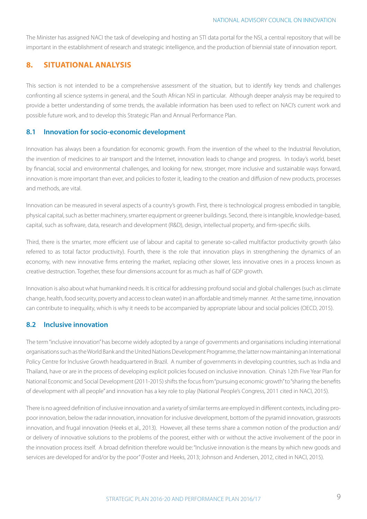The Minister has assigned NACI the task of developing and hosting an STI data portal for the NSI, a central repository that will be important in the establishment of research and strategic intelligence, and the production of biennial state of innovation report.

#### **8. Situational analysis**

This section is not intended to be a comprehensive assessment of the situation, but to identify key trends and challenges confronting all science systems in general, and the South African NSI in particular. Although deeper analysis may be required to provide a better understanding of some trends, the available information has been used to reflect on NACI's current work and possible future work, and to develop this Strategic Plan and Annual Performance Plan.

#### **8.1 Innovation for socio-economic development**

Innovation has always been a foundation for economic growth. From the invention of the wheel to the Industrial Revolution, the invention of medicines to air transport and the Internet, innovation leads to change and progress. In today's world, beset by financial, social and environmental challenges, and looking for new, stronger, more inclusive and sustainable ways forward, innovation is more important than ever, and policies to foster it, leading to the creation and diffusion of new products, processes and methods, are vital.

Innovation can be measured in several aspects of a country's growth. First, there is technological progress embodied in tangible, physical capital, such as better machinery, smarter equipment or greener buildings. Second, there is intangible, knowledge-based, capital, such as software, data, research and development (R&D), design, intellectual property, and firm-specific skills.

Third, there is the smarter, more efficient use of labour and capital to generate so-called multifactor productivity growth (also referred to as total factor productivity). Fourth, there is the role that innovation plays in strengthening the dynamics of an economy, with new innovative firms entering the market, replacing other slower, less innovative ones in a process known as creative destruction. Together, these four dimensions account for as much as half of GDP growth.

Innovation is also about what humankind needs. It is critical for addressing profound social and global challenges (such as climate change, health, food security, poverty and access to clean water) in an affordable and timely manner. At the same time, innovation can contribute to inequality, which is why it needs to be accompanied by appropriate labour and social policies (OECD, 2015).

#### **8.2 Inclusive innovation**

The term "inclusive innovation" has become widely adopted by a range of governments and organisations including international organisations such as the World Bank and the United Nations Development Programme, the latter now maintaining an International Policy Centre for Inclusive Growth headquartered in Brazil. A number of governments in developing countries, such as India and Thailand, have or are in the process of developing explicit policies focused on inclusive innovation. China's 12th Five Year Plan for National Economic and Social Development (2011-2015) shifts the focus from "pursuing economic growth" to "sharing the benefits of development with all people" and innovation has a key role to play (National People's Congress, 2011 cited in NACI, 2015).

There is no agreed definition of inclusive innovation and a variety of similar terms are employed in different contexts, including propoor innovation, below the radar innovation, innovation for inclusive development, bottom of the pyramid innovation, grassroots innovation, and frugal innovation (Heeks et al., 2013). However, all these terms share a common notion of the production and/ or delivery of innovative solutions to the problems of the poorest, either with or without the active involvement of the poor in the innovation process itself. A broad definition therefore would be: "Inclusive innovation is the means by which new goods and services are developed for and/or by the poor" (Foster and Heeks, 2013; Johnson and Andersen, 2012, cited in NACI, 2015).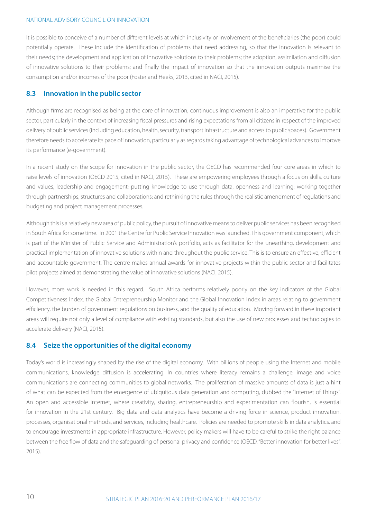It is possible to conceive of a number of different levels at which inclusivity or involvement of the beneficiaries (the poor) could potentially operate. These include the identification of problems that need addressing, so that the innovation is relevant to their needs; the development and application of innovative solutions to their problems; the adoption, assimilation and diffusion of innovative solutions to their problems; and finally the impact of innovation so that the innovation outputs maximise the consumption and/or incomes of the poor (Foster and Heeks, 2013, cited in NACI, 2015).

#### **8.3 Innovation in the public sector**

Although firms are recognised as being at the core of innovation, continuous improvement is also an imperative for the public sector, particularly in the context of increasing fiscal pressures and rising expectations from all citizens in respect of the improved delivery of public services (including education, health, security, transport infrastructure and access to public spaces). Government therefore needs to accelerate its pace of innovation, particularly as regards taking advantage of technological advances to improve its performance (e-government).

In a recent study on the scope for innovation in the public sector, the OECD has recommended four core areas in which to raise levels of innovation (OECD 2015, cited in NACI, 2015). These are empowering employees through a focus on skills, culture and values, leadership and engagement; putting knowledge to use through data, openness and learning; working together through partnerships, structures and collaborations; and rethinking the rules through the realistic amendment of regulations and budgeting and project management processes.

Although this is a relatively new area of public policy, the pursuit of innovative means to deliver public services has been recognised in South Africa for some time. In 2001 the Centre for Public Service Innovation was launched. This government component, which is part of the Minister of Public Service and Administration's portfolio, acts as facilitator for the unearthing, development and practical implementation of innovative solutions within and throughout the public service. This is to ensure an effective, efficient and accountable government. The centre makes annual awards for innovative projects within the public sector and facilitates pilot projects aimed at demonstrating the value of innovative solutions (NACI, 2015).

However, more work is needed in this regard. South Africa performs relatively poorly on the key indicators of the Global Competitiveness Index, the Global Entrepreneurship Monitor and the Global Innovation Index in areas relating to government efficiency, the burden of government regulations on business, and the quality of education. Moving forward in these important areas will require not only a level of compliance with existing standards, but also the use of new processes and technologies to accelerate delivery (NACI, 2015).

#### **8.4 Seize the opportunities of the digital economy**

Today's world is increasingly shaped by the rise of the digital economy. With billions of people using the Internet and mobile communications, knowledge diffusion is accelerating. In countries where literacy remains a challenge, image and voice communications are connecting communities to global networks. The proliferation of massive amounts of data is just a hint of what can be expected from the emergence of ubiquitous data generation and computing, dubbed the "Internet of Things". An open and accessible Internet, where creativity, sharing, entrepreneurship and experimentation can flourish, is essential for innovation in the 21st century. Big data and data analytics have become a driving force in science, product innovation, processes, organisational methods, and services, including healthcare. Policies are needed to promote skills in data analytics, and to encourage investments in appropriate infrastructure. However, policy makers will have to be careful to strike the right balance between the free flow of data and the safeguarding of personal privacy and confidence (OECD, "Better innovation for better lives", 2015).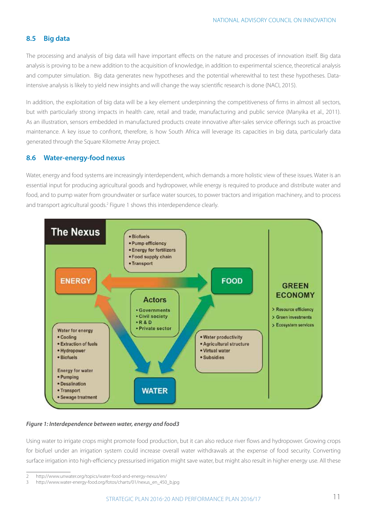#### **8.5 Big data**

The processing and analysis of big data will have important effects on the nature and processes of innovation itself. Big data analysis is proving to be a new addition to the acquisition of knowledge, in addition to experimental science, theoretical analysis and computer simulation. Big data generates new hypotheses and the potential wherewithal to test these hypotheses. Dataintensive analysis is likely to yield new insights and will change the way scientific research is done (NACI, 2015).

In addition, the exploitation of big data will be a key element underpinning the competitiveness of firms in almost all sectors, but with particularly strong impacts in health care, retail and trade, manufacturing and public service (Manyika et al., 2011). As an illustration, sensors embedded in manufactured products create innovative after-sales service offerings such as proactive maintenance. A key issue to confront, therefore, is how South Africa will leverage its capacities in big data, particularly data generated through the Square Kilometre Array project.

#### **8.6 Water-energy-food nexus**

Water, energy and food systems are increasingly interdependent, which demands a more holistic view of these issues. Water is an essential input for producing agricultural goods and hydropower, while energy is required to produce and distribute water and food, and to pump water from groundwater or surface water sources, to power tractors and irrigation machinery, and to process and transport agricultural goods.<sup>2</sup> Figure 1 shows this interdependence clearly.



#### *Figure 1: Interdependence between water, energy and food3*

Using water to irrigate crops might promote food production, but it can also reduce river flows and hydropower. Growing crops for biofuel under an irrigation system could increase overall water withdrawals at the expense of food security. Converting surface irrigation into high-efficiency pressurised irrigation might save water, but might also result in higher energy use. All these

<sup>2</sup> http://www.unwater.org/topics/water-food-and-energy-nexus/en/

<sup>3</sup> http://www.water-energy-food.org/fotos/charts/01/nexus\_en\_450\_b.jpg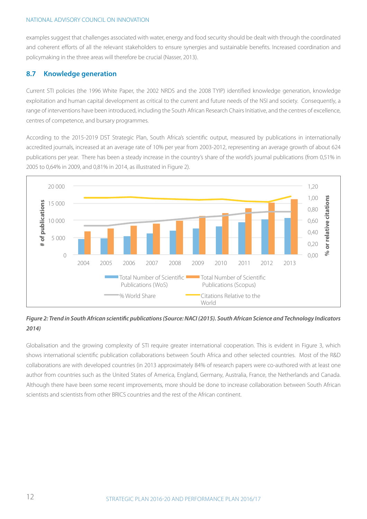examples suggest that challenges associated with water, energy and food security should be dealt with through the coordinated and coherent efforts of all the relevant stakeholders to ensure synergies and sustainable benefits. Increased coordination and policymaking in the three areas will therefore be crucial (Nasser, 2013).

#### **8.7 Knowledge generation**

Current STI policies (the 1996 White Paper, the 2002 NRDS and the 2008 TYIP) identified knowledge generation, knowledge exploitation and human capital development as critical to the current and future needs of the NSI and society. Consequently, a range of interventions have been introduced, including the South African Research Chairs Initiative, and the centres of excellence, centres of competence, and bursary programmes.

According to the 2015-2019 DST Strategic Plan, South Africa's scientific output, measured by publications in internationally accredited journals, increased at an average rate of 10% per year from 2003-2012, representing an average growth of about 624 publications per year. There has been a steady increase in the country's share of the world's journal publications (from 0,51% in 2005 to 0,64% in 2009, and 0,81% in 2014, as illustrated in Figure 2).



#### *Figure 2: Trend in South African scientific publications (Source: NACI (2015). South African Science and Technology Indicators 2014)*

Globalisation and the growing complexity of STI require greater international cooperation. This is evident in Figure 3, which shows international scientific publication collaborations between South Africa and other selected countries. Most of the R&D collaborations are with developed countries (in 2013 approximately 84% of research papers were co-authored with at least one author from countries such as the United States of America, England, Germany, Australia, France, the Netherlands and Canada. Although there have been some recent improvements, more should be done to increase collaboration between South African scientists and scientists from other BRICS countries and the rest of the African continent.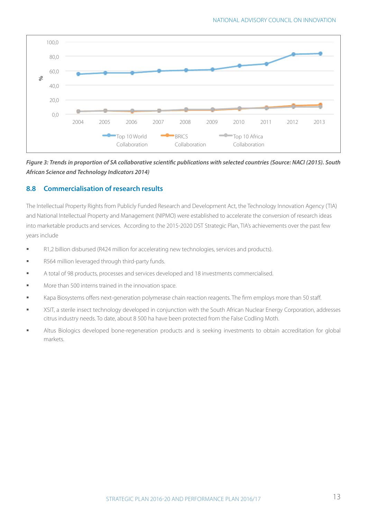

*Figure 3: Trends in proportion of SA collaborative scientific publications with selected countries (Source: NACI (2015). South African Science and Technology Indicators 2014)*

#### **8.8 Commercialisation of research results**

The Intellectual Property Rights from Publicly Funded Research and Development Act, the Technology Innovation Agency (TIA) and National Intellectual Property and Management (NIPMO) were established to accelerate the conversion of research ideas into marketable products and services. According to the 2015-2020 DST Strategic Plan, TIA's achievements over the past few years include

- § R1,2 billion disbursed (R424 million for accelerating new technologies, services and products).
- § R564 million leveraged through third-party funds.
- § A total of 98 products, processes and services developed and 18 investments commercialised.
- More than 500 interns trained in the innovation space.
- Kapa Biosystems offers next-generation polymerase chain reaction reagents. The firm employs more than 50 staff.
- § XSIT, a sterile insect technology developed in conjunction with the South African Nuclear Energy Corporation, addresses citrus industry needs. To date, about 8 500 ha have been protected from the False Codling Moth.
- Altus Biologics developed bone-regeneration products and is seeking investments to obtain accreditation for global markets.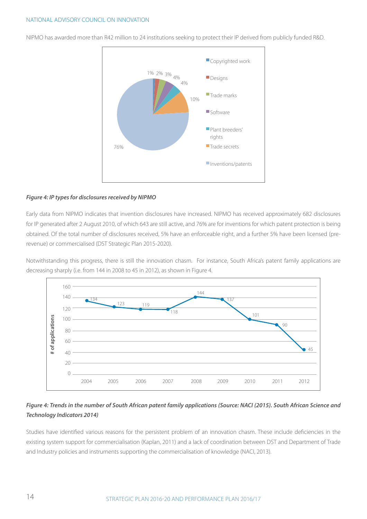NIPMO has awarded more than R42 million to 24 institutions seeking to protect their IP derived from publicly funded R&D.



#### *Figure 4: IP types for disclosures received by NIPMO*

Early data from NIPMO indicates that invention disclosures have increased. NIPMO has received approximately 682 disclosures for IP generated after 2 August 2010, of which 643 are still active, and 76% are for inventions for which patent protection is being obtained. Of the total number of disclosures received, 5% have an enforceable right, and a further 5% have been licensed (prerevenue) or commercialised (DST Strategic Plan 2015-2020).

Notwithstanding this progress, there is still the innovation chasm. For instance, South Africa's patent family applications are decreasing sharply (i.e. from 144 in 2008 to 45 in 2012), as shown in Figure 4.



#### *Figure 4: Trends in the number of South African patent family applications (Source: NACI (2015). South African Science and Technology Indicators 2014)*

Studies have identified various reasons for the persistent problem of an innovation chasm. These include deficiencies in the existing system support for commercialisation (Kaplan, 2011) and a lack of coordination between DST and Department of Trade and Industry policies and instruments supporting the commercialisation of knowledge (NACI, 2013).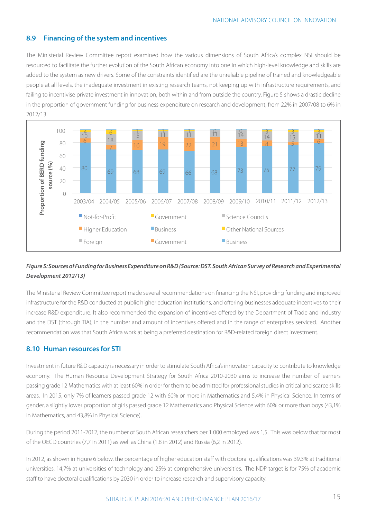#### **8.9 Financing of the system and incentives**

The Ministerial Review Committee report examined how the various dimensions of South Africa's complex NSI should be resourced to facilitate the further evolution of the South African economy into one in which high-level knowledge and skills are added to the system as new drivers. Some of the constraints identified are the unreliable pipeline of trained and knowledgeable people at all levels, the inadequate investment in existing research teams, not keeping up with infrastructure requirements, and failing to incentivise private investment in innovation, both within and from outside the country. Figure 5 shows a drastic decline in the proportion of government funding for business expenditure on research and development, from 22% in 2007/08 to 6% in 2012/13.



#### *Figure 5: Sources of Funding for Business Expenditure on R&D (Source: DST. South African Survey of Research and Experimental Development 2012/13)*

The Ministerial Review Committee report made several recommendations on financing the NSI, providing funding and improved infrastructure for the R&D conducted at public higher education institutions, and offering businesses adequate incentives to their increase R&D expenditure. It also recommended the expansion of incentives offered by the Department of Trade and Industry and the DST (through TIA), in the number and amount of incentives offered and in the range of enterprises serviced. Another recommendation was that South Africa work at being a preferred destination for R&D-related foreign direct investment.

#### **8.10 Human resources for STI**

Investment in future R&D capacity is necessary in order to stimulate South Africa's innovation capacity to contribute to knowledge economy. The Human Resource Development Strategy for South Africa 2010-2030 aims to increase the number of learners passing grade 12 Mathematics with at least 60% in order for them to be admitted for professional studies in critical and scarce skills areas. In 2015, only 7% of learners passed grade 12 with 60% or more in Mathematics and 5,4% in Physical Science. In terms of gender, a slightly lower proportion of girls passed grade 12 Mathematics and Physical Science with 60% or more than boys (43,1% in Mathematics, and 43,8% in Physical Science).

During the period 2011-2012, the number of South African researchers per 1 000 employed was 1,5. This was below that for most of the OECD countries (7,7 in 2011) as well as China (1,8 in 2012) and Russia (6,2 in 2012).

In 2012, as shown in Figure 6 below, the percentage of higher education staff with doctoral qualifications was 39,3% at traditional universities, 14,7% at universities of technology and 25% at comprehensive universities. The NDP target is for 75% of academic staff to have doctoral qualifications by 2030 in order to increase research and supervisory capacity.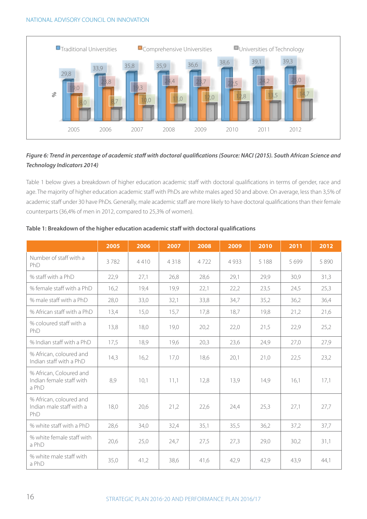

#### *Figure 6: Trend in percentage of academic staff with doctoral qualifications (Source: NACI (2015). South African Science and Technology Indicators 2014)*

Table 1 below gives a breakdown of higher education academic staff with doctoral qualifications in terms of gender, race and age. The majority of higher education academic staff with PhDs are white males aged 50 and above. On average, less than 3,5% of academic staff under 30 have PhDs. Generally, male academic staff are more likely to have doctoral qualifications than their female counterparts (36,4% of men in 2012, compared to 25,3% of women).

|                                                              | 2005 | 2006 | 2007 | 2008 | 2009    | 2010    | 2011    | 2012 |
|--------------------------------------------------------------|------|------|------|------|---------|---------|---------|------|
| Number of staff with a<br>PhD                                | 3782 | 4410 | 4318 | 4722 | 4 9 3 3 | 5 1 8 8 | 5 6 9 9 | 5890 |
| % staff with a PhD                                           | 22,9 | 27,1 | 26,8 | 28,6 | 29,1    | 29,9    | 30,9    | 31,3 |
| % female staff with a PhD                                    | 16,2 | 19,4 | 19,9 | 22,1 | 22,2    | 23,5    | 24,5    | 25,3 |
| % male staff with a PhD                                      | 28,0 | 33,0 | 32,1 | 33,8 | 34,7    | 35,2    | 36,2    | 36,4 |
| % African staff with a PhD                                   | 13,4 | 15,0 | 15,7 | 17,8 | 18,7    | 19,8    | 21,2    | 21,6 |
| % coloured staff with a<br>PhD                               | 13,8 | 18,0 | 19,0 | 20,2 | 22,0    | 21,5    | 22,9    | 25,2 |
| % Indian staff with a PhD                                    | 17,5 | 18,9 | 19,6 | 20,3 | 23,6    | 24,9    | 27,0    | 27,9 |
| % African, coloured and<br>Indian staff with a PhD           | 14,3 | 16,2 | 17,0 | 18,6 | 20,1    | 21,0    | 22,5    | 23,2 |
| % African, Coloured and<br>Indian female staff with<br>a PhD | 8,9  | 10,1 | 11,1 | 12,8 | 13,9    | 14,9    | 16,1    | 17,1 |
| % African, coloured and<br>Indian male staff with a<br>PhD   | 18,0 | 20,6 | 21,2 | 22,6 | 24,4    | 25,3    | 27,1    | 27,7 |
| % white staff with a PhD                                     | 28,6 | 34,0 | 32,4 | 35,1 | 35,5    | 36,2    | 37,2    | 37,7 |
| % white female staff with<br>a PhD                           | 20,6 | 25,0 | 24,7 | 27,5 | 27,3    | 29,0    | 30,2    | 31,1 |
| % white male staff with<br>a PhD                             | 35,0 | 41,2 | 38,6 | 41,6 | 42,9    | 42,9    | 43,9    | 44,1 |

#### **Table 1: Breakdown of the higher education academic staff with doctoral qualifications**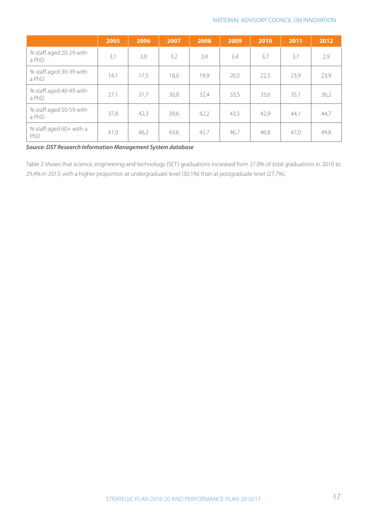|                                  | 2005 | 2006 | 2007 | 2008 | 2009 | 2010 | 2011 | 2012 |
|----------------------------------|------|------|------|------|------|------|------|------|
| % staff aged 20-29 with<br>a PhD | 3,1  | 3,0  | 3,2  | 3,4  | 3,4  | 3,7  | 3,7  | 2,9  |
| % staff aged 30-39 with<br>a PhD | 14,1 | 17,5 | 18,0 | 19,9 | 20,5 | 22,5 | 23,9 | 23,9 |
| % staff aged 40-49 with<br>a PhD | 27,1 | 31,7 | 30,8 | 32,4 | 33,5 | 33,6 | 35,1 | 36,2 |
| % staff aged 50-59 with<br>a PhD | 37,8 | 42,3 | 39,6 | 42,2 | 43,5 | 42,9 | 44,1 | 44,7 |
| % staff aged 60+ with a<br>PhD   | 41,0 | 46,2 | 43,6 | 45,7 | 46,7 | 46,8 | 47,0 | 49,8 |

*Source: DST Research Information Management System database* 

Table 2 shows that science, engineering and technology (SET) graduations increased from 27,9% of total graduations in 2010 to 29,4% in 2013, with a higher proportion at undergraduate level (30,1%) than at postgraduate level (27,7%).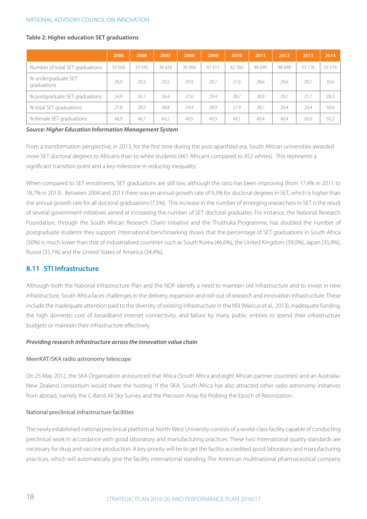#### **Table 2: Higher education SET graduations**

|                                    | 2005   | 2006   | 2007  | 2008    | 2009  | 2010   | 2011    | 2012   | 2013   | 2014   |
|------------------------------------|--------|--------|-------|---------|-------|--------|---------|--------|--------|--------|
| Number of total SET graduations    | 33 506 | 33 542 | 36429 | 39 30 6 | 41511 | 42 760 | 46 0 99 | 48 848 | 53 176 | 55 574 |
| % undergraduate SET<br>graduations | 28.9   | 29,3   | 29.5  | 29.9    | 28,7  | 27,6   | 28.6    | 29,6   | 30,1   | 30,6   |
| % postgraduate SET graduations     | 24.9   | 26,1   | 26.4  | 27.6    | 29,4  | 28.7   | 28.9    | 29,1   | 27.7   | 28,3   |
| % total SET graduations            | 27,8   | 28,5   | 28,8  | 29,4    | 28,9  | 27,9   | 28,7    | 29,4   | 29,4   | 30,0   |
| % female SET graduations           | 48.9   | 48,7   | 49,2  | 49.5    | 49.3  | 49,1   | 49.4    | 49,4   | 50,0   | 50,2   |

*Source: Higher Education Information Management System*

From a transformation perspective, in 2013, for the first time during the post-apartheid era, South African universities awarded more SET doctoral degrees to Africans than to white students (461 Africans compared to 452 whites). This represents a significant transition point and a key milestone in reducing inequality.

When compared to SET enrolments, SET graduations are still low, although the ratio has been improving (from 17,4% in 2011 to 18,7% in 2013). Between 2004 and 2013 there was an annual growth rate of 9,3% for doctoral degrees in SET, which is higher than the annual growth rate for all doctoral graduations (7,5%). This increase in the number of emerging researchers in SET is the result of several government initiatives aimed at increasing the number of SET doctoral graduates. For instance, the National Research Foundation, through the South African Research Chairs Initiative and the Thuthuka Programme, has doubled the number of postgraduate students they support. International benchmarking shows that the percentage of SET graduations in South Africa (30%) is much lower than that of industrialised countries such as South Korea (46,6%), the United Kingdom (39,0%), Japan (35,9%), Russia (35,1%) and the United States of America (34,4%).

#### **8.11 STI Infrastructure**

Although both the National Infrastructure Plan and the NDP identify a need to maintain old infrastructure and to invest in new infrastructure, South Africa faces challenges in the delivery, expansion and roll-out of research and innovation infrastructure. These include the inadequate attention paid to the diversity of existing infrastructure in the NSI (Marcus et al., 2013), inadequate funding, the high domestic cost of broadband internet connectivity, and failure by many public entities to spend their infrastructure budgets or maintain their infrastructure effectively.

#### *Providing research infrastructure across the innovation value chain*

#### MeerKAT/SKA radio astronomy telescope

On 25 May 2012, the SKA Organisation announced that Africa (South Africa and eight African partner countries) and an Australia-New Zealand consortium would share the hosting 1f the SKA. South Africa has also attracted other radio astronomy initiatives from abroad, namely the C-Band All Sky Survey and the Precision Array for Probing the Epoch of Reionization.

#### National preclinical infrastructure facilities

The newly established national preclinical platform at North-West University consists of a world-class facility capable of conducting preclinical work in accordance with good laboratory and manufacturing practices. These two international quality standards are necessary for drug and vaccine production. A key priority will be to get the facility accredited good laboratory and manufacturing practices, which will automatically give the facility international standing. The American multinational pharmaceutical company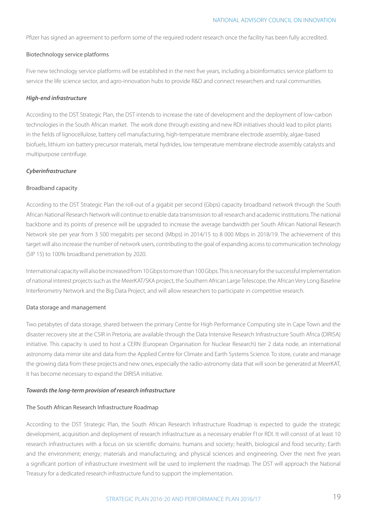Pfizer has signed an agreement to perform some of the required rodent research once the facility has been fully accredited.

#### Biotechnology service platforms

Five new technology service platforms will be established in the next five years, including a bioinformatics service platform to service the life science sector, and agro-innovation hubs to provide R&D and connect researchers and rural communities.

#### *High-end infrastructure*

According to the DST Strategic Plan, the DST intends to increase the rate of development and the deployment of low-carbon technologies in the South African market. The work done through existing and new RDI initiatives should lead to pilot plants in the fields of lignocellulose, battery cell manufacturing, high-temperature membrane electrode assembly, algae-based biofuels, lithium ion battery precursor materials, metal hydrides, low temperature membrane electrode assembly catalysts and multipurpose centrifuge.

#### *Cyberinfrastructure*

#### Broadband capacity

According to the DST Strategic Plan the roll-out of a gigabit per second (Gbps) capacity broadband network through the South African National Research Network will continue to enable data transmission to all research and academic institutions. The national backbone and its points of presence will be upgraded to increase the average bandwidth per South African National Research Network site per year from 3 500 megabits per second (Mbps) in 2014/15 to 8 000 Mbps in 2018/19. The achievement of this target will also increase the number of network users, contributing to the goal of expanding access to communication technology (SIP 15) to 100% broadband penetration by 2020.

International capacity will also be increased from 10 Gbps to more than 100 Gbps. This is necessary for the successful implementation of national interest projects such as the MeerKAT/SKA project, the Southern African Large Telescope, the African Very Long Baseline Interferometry Network and the Big Data Project, and will allow researchers to participate in competitive research.

#### Data storage and management

Two petabytes of data storage, shared between the primary Centre for High Performance Computing site in Cape Town and the disaster recovery site at the CSIR in Pretoria, are available through the Data Intensive Research Infrastructure South Africa (DIRISA) initiative. This capacity is used to host a CERN (European Organisation for Nuclear Research) tier 2 data node, an international astronomy data mirror site and data from the Applied Centre for Climate and Earth Systems Science. To store, curate and manage the growing data from these projects and new ones, especially the radio-astronomy data that will soon be generated at MeerKAT, it has become necessary to expand the DIRISA initiative.

#### *Towards the long-term provision of research infrastructure*

#### The South African Research Infrastructure Roadmap

According to the DST Strategic Plan, the South African Research Infrastructure Roadmap is expected to guide the strategic development, acquisition and deployment of research infrastructure as a necessary enabler f1or RDI. It will consist of at least 10 research infrastructures with a focus on six scientific domains: humans and society; health, biological and food security; Earth and the environment; energy; materials and manufacturing; and physical sciences and engineering. Over the next five years a significant portion of infrastructure investment will be used to implement the roadmap. The DST will approach the National Treasury for a dedicated research infrastructure fund to support the implementation.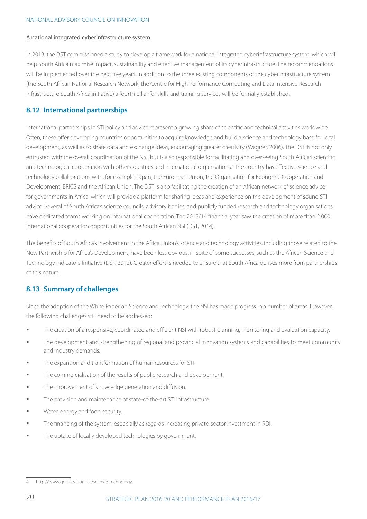#### A national integrated cyberinfrastructure system

In 2013, the DST commissioned a study to develop a framework for a national integrated cyberinfrastructure system, which will help South Africa maximise impact, sustainability and effective management of its cyberinfrastructure. The recommendations will be implemented over the next five years. In addition to the three existing components of the cyberinfrastructure system (the South African National Research Network, the Centre for High Performance Computing and Data Intensive Research Infrastructure South Africa initiative) a fourth pillar for skills and training services will be formally established.

#### **8.12 International partnerships**

International partnerships in STI policy and advice represent a growing share of scientific and technical activities worldwide. Often, these offer developing countries opportunities to acquire knowledge and build a science and technology base for local development, as well as to share data and exchange ideas, encouraging greater creativity (Wagner, 2006). The DST is not only entrusted with the overall coordination of the NSI, but is also responsible for facilitating and overseeing South Africa's scientific and technological cooperation with other countries and international organisations.<sup>4</sup> The country has effective science and technology collaborations with, for example, Japan, the European Union, the Organisation for Economic Cooperation and Development, BRICS and the African Union. The DST is also facilitating the creation of an African network of science advice for governments in Africa, which will provide a platform for sharing ideas and experience on the development of sound STI advice. Several of South Africa's science councils, advisory bodies, and publicly funded research and technology organisations have dedicated teams working on international cooperation. The 2013/14 financial year saw the creation of more than 2 000 international cooperation opportunities for the South African NSI (DST, 2014).

The benefits of South Africa's involvement in the Africa Union's science and technology activities, including those related to the New Partnership for Africa's Development, have been less obvious, in spite of some successes, such as the African Science and Technology Indicators Initiative (DST, 2012). Greater effort is needed to ensure that South Africa derives more from partnerships of this nature.

#### **8.13 Summary of challenges**

Since the adoption of the White Paper on Science and Technology, the NSI has made progress in a number of areas. However, the following challenges still need to be addressed:

- § The creation of a responsive, coordinated and efficient NSI with robust planning, monitoring and evaluation capacity.
- § The development and strengthening of regional and provincial innovation systems and capabilities to meet community and industry demands.
- The expansion and transformation of human resources for STI.
- The commercialisation of the results of public research and development.
- **■** The improvement of knowledge generation and diffusion.
- The provision and maintenance of state-of-the-art STI infrastructure.
- Water, energy and food security.
- § The financing of the system, especially as regards increasing private-sector investment in RDI.
- The uptake of locally developed technologies by government.

<sup>4</sup> http://www.gov.za/about-sa/science-technology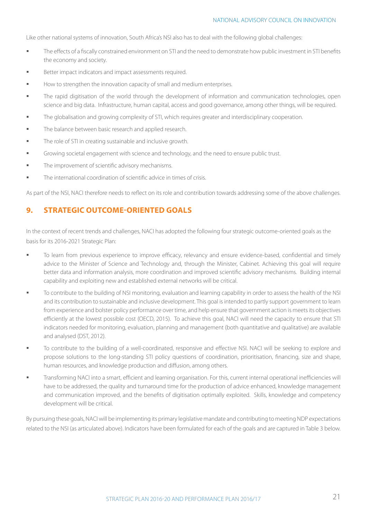Like other national systems of innovation, South Africa's NSI also has to deal with the following global challenges:

- **The effects of a fiscally constrained environment on STI and the need to demonstrate how public investment in STI benefits** the economy and society.
- Better impact indicators and impact assessments required.
- How to strengthen the innovation capacity of small and medium enterprises.
- § The rapid digitisation of the world through the development of information and communication technologies, open science and big data. Infrastructure, human capital, access and good governance, among other things, will be required.
- **■** The globalisation and growing complexity of STI, which requires greater and interdisciplinary cooperation.
- **The balance between basic research and applied research.**
- **The role of STI in creating sustainable and inclusive growth.**
- § Growing societal engagement with science and technology, and the need to ensure public trust.
- **■** The improvement of scientific advisory mechanisms.
- § The international coordination of scientific advice in times of crisis.

As part of the NSI, NACI therefore needs to reflect on its role and contribution towards addressing some of the above challenges.

#### **9. Strategic outcome-oriented goals**

In the context of recent trends and challenges, NACI has adopted the following four strategic outcome-oriented goals as the basis for its 2016-2021 Strategic Plan:

- To learn from previous experience to improve efficacy, relevancy and ensure evidence-based, confidential and timely advice to the Minister of Science and Technology and, through the Minister, Cabinet. Achieving this goal will require better data and information analysis, more coordination and improved scientific advisory mechanisms. Building internal capability and exploiting new and established external networks will be critical.
- § To contribute to the building of NSI monitoring, evaluation and learning capability in order to assess the health of the NSI and its contribution to sustainable and inclusive development. This goal is intended to partly support government to learn from experience and bolster policy performance over time, and help ensure that government action is meets its objectives efficiently at the lowest possible cost (OECD, 2015). To achieve this goal, NACI will need the capacity to ensure that STI indicators needed for monitoring, evaluation, planning and management (both quantitative and qualitative) are available and analysed (DST, 2012).
- § To contribute to the building of a well-coordinated, responsive and effective NSI. NACI will be seeking to explore and propose solutions to the long-standing STI policy questions of coordination, prioritisation, financing, size and shape, human resources, and knowledge production and diffusion, among others.
- § Transforming NACI into a smart, efficient and learning organisation. For this, current internal operational inefficiencies will have to be addressed, the quality and turnaround time for the production of advice enhanced, knowledge management and communication improved, and the benefits of digitisation optimally exploited. Skills, knowledge and competency development will be critical.

By pursuing these goals, NACI will be implementing its primary legislative mandate and contributing to meeting NDP expectations related to the NSI (as articulated above). Indicators have been formulated for each of the goals and are captured in Table 3 below.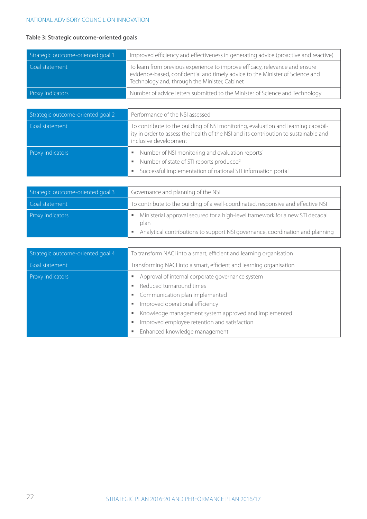#### **Table 3: Strategic outcome-oriented goals**

| Strategic outcome-oriented goal 1 | Improved efficiency and effectiveness in generating advice (proactive and reactive)                                                                                                                           |
|-----------------------------------|---------------------------------------------------------------------------------------------------------------------------------------------------------------------------------------------------------------|
| Goal statement                    | To learn from previous experience to improve efficacy, relevance and ensure<br>evidence-based, confidential and timely advice to the Minister of Science and<br>Technology and, through the Minister, Cabinet |
| Proxy indicators                  | Number of advice letters submitted to the Minister of Science and Technology                                                                                                                                  |
|                                   |                                                                                                                                                                                                               |
| Strategic outcome-oriented goal 2 | Performance of the NSI assessed                                                                                                                                                                               |
| Goal statement                    | To contribute to the building of NSI monitoring, evaluation and learning capabil-<br>ity in order to assess the health of the NSI and its contribution to sustainable and<br>inclusive development            |
| Proxy indicators                  | Number of NSI monitoring and evaluation reports <sup>1</sup><br>٠<br>Number of state of STI reports produced <sup>2</sup><br>٠                                                                                |
|                                   | Successful implementation of national STI information portal<br>٠                                                                                                                                             |
|                                   |                                                                                                                                                                                                               |
| Strategic outcome-oriented goal 3 | Governance and planning of the NSI                                                                                                                                                                            |
| Goal statement                    | To contribute to the building of a well-coordinated, responsive and effective NSI                                                                                                                             |
| Proxy indicators                  | Ministerial approval secured for a high-level framework for a new STI decadal<br>٠<br>plan                                                                                                                    |
|                                   | Analytical contributions to support NSI governance, coordination and planning<br>g,                                                                                                                           |
|                                   |                                                                                                                                                                                                               |
| Strategic outcome-oriented goal 4 | To transform NACI into a smart, efficient and learning organisation                                                                                                                                           |
| Goal statement                    | Transforming NACI into a smart, efficient and learning organisation                                                                                                                                           |
| Proxy indicators                  | Approval of internal corporate governance system<br>ш                                                                                                                                                         |
|                                   | Reduced turnaround times<br>٠                                                                                                                                                                                 |
|                                   | Communication plan implemented<br>ш<br>Improved operational efficiency<br>ш                                                                                                                                   |
|                                   | Knowledge management system approved and implemented<br>ш                                                                                                                                                     |
|                                   | Improved employee retention and satisfaction<br>٠                                                                                                                                                             |
|                                   | Enhanced knowledge management<br>ш                                                                                                                                                                            |
|                                   |                                                                                                                                                                                                               |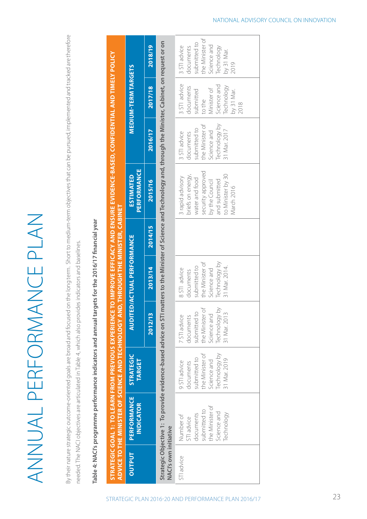ANNUAL PERFORMANCE PLAN ANNUAL PERFORMANCE PLAN By their nature strategic outcome-oriented goals are broad and focused on the long term. Short to medium-term objectives that can be pursued, implemented and tracked are therefore By their nature strategic outcome-oriented goals are broad and focused on the long term. Short to medium-term objectives that can be pursued, implemented and tracked are therefore needed. The NACI objectives are articulated in Table 4, which also provides indicators and baselines. needed. The NACI objectives are articulated in Table 4, which also provides indicators and baselines.

Table 4: NACI's programme performance indicators and annual targets for the 2016/17 financial year **Table 4: NACI's programme performance indicators and annual targets for the 2016/17 financial year** **Strategic Goal 1: To learn from previous experience to improve efficacy and ensure evidence-based, confidential and timely policy** 

STRATEGIC GOAL 1: TO LEARN FROM PREVIOUS EXPERIENCE TO IMPROVE EFFICACY AND ENSURE EVIDENCE-BASED, CONFIDENTIAL AND TIMELY POLICY

|                              | ADVICE TO THE MINISTER OF SCIENCE AND TECHNOLOGY AND, THROUGH THE MINISTER, CABINET                  |                                                                                                              |                                                                                                              |                                                                                                               |         |                                                                                                                                                    |                                                                                                              |                                                                                                                    |                                                                                                                 |
|------------------------------|------------------------------------------------------------------------------------------------------|--------------------------------------------------------------------------------------------------------------|--------------------------------------------------------------------------------------------------------------|---------------------------------------------------------------------------------------------------------------|---------|----------------------------------------------------------------------------------------------------------------------------------------------------|--------------------------------------------------------------------------------------------------------------|--------------------------------------------------------------------------------------------------------------------|-----------------------------------------------------------------------------------------------------------------|
| <b>OUTPUT</b>                | <b>PERFORMANCE</b><br><b>INDICATOR</b>                                                               | <b>STRATEGIC</b><br><b>TARGET</b>                                                                            |                                                                                                              | <b>AUDITED/ACTUAL PERFORMANCE</b>                                                                             |         | PERFORMANCE<br><b>ESTIMATED</b>                                                                                                                    |                                                                                                              | <b>MEDIUM-TERM TARGETS</b>                                                                                         |                                                                                                                 |
|                              |                                                                                                      |                                                                                                              | 2012/13                                                                                                      | 2013/14                                                                                                       | 2014/15 | 2015/16                                                                                                                                            | 2016/17                                                                                                      | 2017/18                                                                                                            | 2018/19                                                                                                         |
| <b>NACI's own initiative</b> | Strategic Objective 1: To provide evidence-based advice on STI                                       |                                                                                                              |                                                                                                              |                                                                                                               |         | matters to the Minister of Science and Technology and, through the Minister, Cabinet, on request or on                                             |                                                                                                              |                                                                                                                    |                                                                                                                 |
| STI advice                   | the Minister of<br>submitted to<br>Science and<br>Technology<br>documents<br>Number of<br>STI advice | Technology by<br>the Minister of<br>submitted to<br>31 Mar. 2019<br>Science and<br>9 STI advice<br>documents | Technology by<br>the Minister of<br>7 STI advice<br>documents<br>submitted to<br>Science and<br>31 Mar. 2013 | Technology by<br>the Minister of<br>31 Mar. 2014.<br>submitted to<br>8 STI advice<br>Science and<br>documents |         | security approved<br>to Minister by 30<br>briefs on energy,<br>3 rapid advisory<br>water and food<br>by the Council<br>and submitted<br>March 2016 | Technology by<br>the Minister of<br>submitted to<br>31 Mar. 2017<br>Science and<br>3 STI advice<br>documents | 3 STI advice<br>Science and<br>Technology<br>documents<br>Minister of<br>by 31 Mar.<br>submitted<br>to the<br>2018 | the Minister of<br>submitted to<br>Science and<br>3 STI advice<br>Technology<br>documents<br>by 31 Mar.<br>2019 |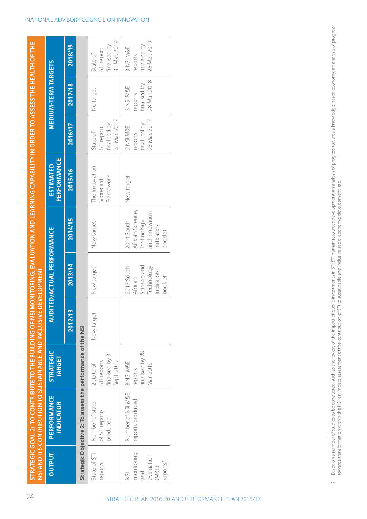|                                                                                                                         |                                       | 2018/19 |
|-------------------------------------------------------------------------------------------------------------------------|---------------------------------------|---------|
|                                                                                                                         | <b>MEDIUM-TERM TARGETS</b>            | 2017/18 |
|                                                                                                                         |                                       | 2016/17 |
| NSI MONITORING, EVALUATION AND LEARNING CAPABILITY IN ORDER TO ASSESS THE HEALTH OF THE                                 | PERFORMANCE<br><b>ESTIMATED</b>       | 2015/16 |
|                                                                                                                         |                                       | 2014/15 |
|                                                                                                                         | <b>NUDITED/ACTUAL PERFORMANCE</b>     | 2013/14 |
|                                                                                                                         |                                       | 2012/13 |
|                                                                                                                         | <b>STRATEGIC</b><br><b>TARGET</b>     |         |
| SI AND ITS CONTRIBUTION TO SUSTAINABLE AND INCLUSIVE DEVELOPMENT<br>TRATEGIC GOAL 2: TO CONTRIBUTE TO THE BUILDING OF I | <b>PERFORMANCE</b><br><b>NDICATOR</b> |         |
|                                                                                                                         | <b>OUTPUT</b>                         |         |

# Strategic Objective 2: To assess the performance of the NSI **Strategic Objective 2: To assess the performance of the NSI**

| State of STI<br>reports                                                | Number of state<br>of STI reports<br>produced     | finalised by 31<br>Sept. 2019<br>TI reports<br>2 state of | New target | New target                                                                | New target                                                                             | The Innovation<br>Framework<br><b>Scorecard</b> | 31 Mar. 2017<br>finalised by<br>Ti report<br>State of | No target                                            | 31 Mar. 2019<br>inalised by<br>5TI report<br>State of |
|------------------------------------------------------------------------|---------------------------------------------------|-----------------------------------------------------------|------------|---------------------------------------------------------------------------|----------------------------------------------------------------------------------------|-------------------------------------------------|-------------------------------------------------------|------------------------------------------------------|-------------------------------------------------------|
| monitoring<br>evaluation<br>reports <sup>7</sup><br>(M&E)<br>and<br>51 | Number of NSI M&E   8 NSI M&E<br>reports produced | finalised by 28<br>Vlar. 2019<br>reports                  |            | cience and<br>013 South<br>Technology<br>indicators<br>pooklet<br>African | African Science,<br>and Innovation<br>2014 South<br>iechnology<br>ndicators<br>booklet | New target                                      | 28 Mar. 2017<br>inalised by<br>INSI M&E<br>eports     | 28 Mar. 2018<br>finalised by<br>3 NSI M&E<br>reports | 28 Mar. 2019<br>finalised by<br>3 NSI M&E<br>reports  |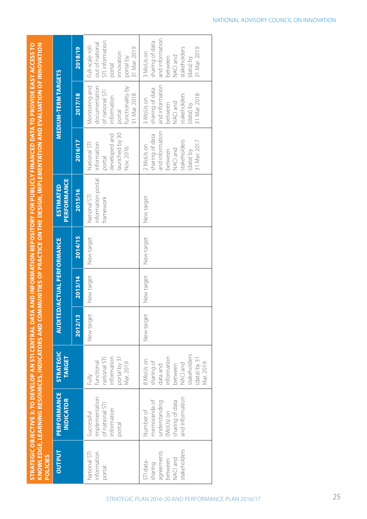**STRATEGIC OBJECTIVE 3: TO DEVELOP AN STI CENTRAL DATA AND INFORMATION REPOSITORY FOR PUBLICLY FINANCED DATA TO PROVIDE EASY ACCESS TO Strategic Objective 3: To develop an STI central data and information repository for publicly financed data to provide easy access to**  KNOWLEDGE, LEARNING RESOURCES, INDICATORS AND COMMUNITIES OF PRACTICE ON THE DESIGN, IMPLEMENTATION AND EVALUATION OF INNOVATION **knowledge, learning resources, indicators and communities of practice on the design, implementation and evaluation of innovation** 

|                 |                                        | 2018/19 | STI information<br>out of national<br>Full-scale roll-<br>31 Mar. 2019<br>innovation<br>portal by<br>portal     | and information<br>sharing of data<br>31 Mar. 2019<br>stakeholders<br>3 MoUs on<br>NACI and<br>(data) by<br>between   |
|-----------------|----------------------------------------|---------|-----------------------------------------------------------------------------------------------------------------|-----------------------------------------------------------------------------------------------------------------------|
|                 | <b>MEDIUM-TERM TARGETS</b>             | 2017/18 | Monitoring and<br>functionality by<br>documentation<br>of national STI<br>31 Mar. 2018<br>information<br>portal | and information<br>sharing of data<br>stakeholders<br>31 Mar. 2018<br>3 MoUs on<br>NACI and<br>data) by<br>between    |
|                 |                                        | 2016/17 | launched by 30<br>developed and<br>information<br>National STI<br>Nov. 2016<br>portal                           | and information<br>sharing of data<br>stakeholders<br>31 Mar. 2017<br>2 MoUs on<br>NACI and<br>(data) by<br>between   |
|                 | PERFORMANCE<br><b>ESTIMATED</b>        | 2015/16 | information portal<br>National STI<br>framework                                                                 | New target                                                                                                            |
|                 |                                        | 2014/15 | New target                                                                                                      | New target                                                                                                            |
|                 | <b>AUDITED/ACTUAL PERFORMANCE</b>      | 2013/14 | New target                                                                                                      | New target                                                                                                            |
|                 |                                        | 2012/13 | New target                                                                                                      | New target                                                                                                            |
|                 | <b>STRATEGIC</b><br><b>TARGET</b>      |         | portal by 31<br>information<br>national STI<br>unctional<br>Vlar. 2019<br>Fully                                 | stakeholders<br>nformation<br>(data) by 31<br>8 MoUs on<br>Mar. 2019<br>sharing of<br>NACI and<br>between<br>data and |
|                 | <b>PERFORMANCE</b><br><b>INDICATOR</b> |         | mplementation<br>of national STI<br>information<br><b>Successful</b><br>portal                                  | and information<br>memoranda of<br>sharing of data<br>understanding<br>Number of<br>(MoUs) on                         |
| <b>POLICIES</b> | <b>OUTPUT</b>                          |         | nformation<br>National STI<br>portal                                                                            | stakeholders<br>agreements<br>NACI and<br>between<br>STI data-<br>sharing                                             |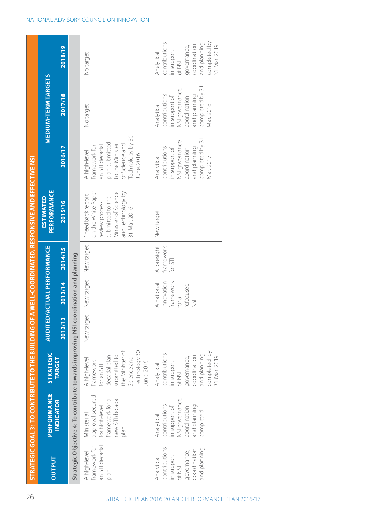|                                                                                                    |                                                                                                              |                                                                                                                                          |                                   |                                                                   |                                     | STRATEGIC GOAL 3: TO CONTRIBUTE TO THE BUILDING OF A WELL-COORDINATED, RESPONSIVE AND EFFECTIVE NSI                                      |                                                                                                                                          |                                                                                                                                 |                                                                                                                                    |
|----------------------------------------------------------------------------------------------------|--------------------------------------------------------------------------------------------------------------|------------------------------------------------------------------------------------------------------------------------------------------|-----------------------------------|-------------------------------------------------------------------|-------------------------------------|------------------------------------------------------------------------------------------------------------------------------------------|------------------------------------------------------------------------------------------------------------------------------------------|---------------------------------------------------------------------------------------------------------------------------------|------------------------------------------------------------------------------------------------------------------------------------|
| <b>OUTPUT</b>                                                                                      | PERFORMANCE                                                                                                  | <b>STRATEGIC</b>                                                                                                                         | <b>AUDITED/ACTUAL PERFORMANCE</b> |                                                                   |                                     | PERFORMANCE<br><b>ESTIMATED</b>                                                                                                          |                                                                                                                                          | <b>MEDIUM-TERM TARGETS</b>                                                                                                      |                                                                                                                                    |
|                                                                                                    | <b>INDICATOR</b>                                                                                             | <b>TARGET</b>                                                                                                                            | 2012/13                           | 2013/14                                                           | 2014/15                             | 2015/16                                                                                                                                  | 2016/17                                                                                                                                  | 2017/18                                                                                                                         | 2018/19                                                                                                                            |
|                                                                                                    | Strategic Objective 4: To contribute towards improving NSI coordination and planning                         |                                                                                                                                          |                                   |                                                                   |                                     |                                                                                                                                          |                                                                                                                                          |                                                                                                                                 |                                                                                                                                    |
| an STI decadal<br>tramework for<br>A high-level<br>Dlan                                            | approval secured<br>new STI decadal<br>framework for a<br>for high-level<br>Ministerial<br>plan.             | Technology 30<br>the Minister of<br>submitted to<br>decadal plan<br>Science and<br>A high-level<br>framework<br>June. 2016<br>for an STI | New target                        | New target                                                        | New target                          | on the White Paper<br>and Technology by<br>Minister of Science<br>1 feedback report<br>submitted to the<br>eview process<br>31 Mar. 2016 | Technology by 30<br>plan submitted<br>to the Minister<br>of Science and<br>an STI decadal<br>framework for<br>A high-level<br>June. 2016 | No target                                                                                                                       | No target                                                                                                                          |
| contributions<br>and planning<br>coordination<br>governance,<br>in support<br>Analytical<br>of NSI | NSI governance,<br>contributions<br>and planning<br>in support of<br>coordination<br>completed<br>Analytical | completed by<br>contributions<br>and planning<br>31 Mar. 2019<br>coordination<br>governance,<br>in support<br>Analytical<br>of NSI       |                                   | innovation<br>framework<br>A national<br>refocused<br>for a<br>5I | A foresight<br>framework<br>for STI | New target                                                                                                                               | completed by 31<br>NSI governance,<br>contributions<br>and planning<br>in support of<br>coordination<br>Mar. 2017<br>Analytical          | completed by 31<br>NSI governance,<br>contributions<br>and planning<br>in support of<br>coordination<br>Analytical<br>Mar. 2018 | completed by<br>contributions<br>and planning<br>31 Mar. 2019<br>coordination<br>governance,<br>in support<br>Analytical<br>of NSI |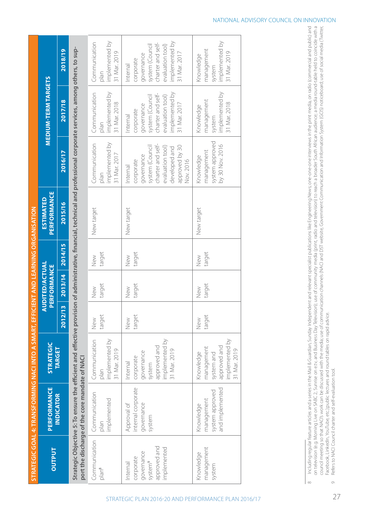|               | JTRATEGIC GOAL 4: TRANSFORMING NACI INTO A SMART, EFFICIENT AND LEARNING ORGANISATION                                                                                                                                       |                       |                |                                             |                |                                 |                        |                                |                          |
|---------------|-----------------------------------------------------------------------------------------------------------------------------------------------------------------------------------------------------------------------------|-----------------------|----------------|---------------------------------------------|----------------|---------------------------------|------------------------|--------------------------------|--------------------------|
| <b>OUTPUT</b> | PERFORMANCE                                                                                                                                                                                                                 | <b>STRATEGIC</b>      |                | <b>AUDITED/ACTUAL</b><br><b>PERFORMANCE</b> |                | PERFORMANCE<br><b>ESTIMATED</b> |                        | <b>MEDIUM-TERM TARGETS</b>     |                          |
|               | <b>INDICATOR</b>                                                                                                                                                                                                            | <b>TARGET</b>         |                | 2012/13 2013/14 2014/15                     |                | 2015/16                         | 2016/17                | 2017/18                        | 2018/19                  |
|               | Strategic Objective 5: To ensure the efficient and effective provision of administrative, financial, technical and professional corporate services, among others, to sup-<br>port the discharge of the core mandate of NACI |                       |                |                                             |                |                                 |                        |                                |                          |
| 8 م م         | Communication   Communication<br>N P N                                                                                                                                                                                      | Communication<br>N LU | $+2521$<br>New | $+2521$<br>New                              | $+2521$<br>New | New target                      | Communication<br>N PIN | Communication<br>$\frac{1}{2}$ | I Communication<br>N P N |

**Service State** 

| Communication<br>plan <sup>8</sup>                                                       | Communication<br>implemented<br>plan                          | implemented by<br>Communication<br>31 Mar. 2019<br>plan                                         | target<br>New | target<br>New | target<br>New | New target | implemented by<br>Communication<br>31 Mar. 2017<br>plan                                                                                         | implemented by<br>Communication<br>31 Mar. 2018<br>plan                                                                          | implemented by<br>Communication<br>31 Mar. 2019<br>plan                                                                           |
|------------------------------------------------------------------------------------------|---------------------------------------------------------------|-------------------------------------------------------------------------------------------------|---------------|---------------|---------------|------------|-------------------------------------------------------------------------------------------------------------------------------------------------|----------------------------------------------------------------------------------------------------------------------------------|-----------------------------------------------------------------------------------------------------------------------------------|
| approved and<br>implemented<br>governance<br>corporate<br>system <sup>9</sup><br>nternal | nternal corporate<br>Approval of<br>governance<br>system      | implemented by<br>approved and<br>31 Mar. 2019<br>governance<br>corporate<br>system<br>Internal | target<br>New | target<br>New | target<br>New | New target | charter and self-<br>system (Council<br>approved by 30<br>evaluation tool)<br>developed and<br>governance<br>Nov. 2016<br>corporate<br>Internal | implemented by<br>charter and self-<br>evaluation tool)<br>system (Council<br>31 Mar. 2017<br>governance<br>corporate<br>nternal | implemented by<br>charter and self-<br>evaluation tool)<br>system (Council<br>31 Mar. 2017<br>governance<br>corporate<br>Internal |
| management<br>Knowledge<br>system                                                        | and implemented<br>system approved<br>management<br>Knowledge | implemented by<br>approved and<br>management<br>31 Mar. 2019<br>system and<br>Knowledge         | target<br>New | target<br>New | target<br>New | New target | system approved<br>by 30 Nov. 2016<br>management<br>Knowledge                                                                                   | implemented by<br>management<br>31 Mar. 2018<br>Knowledge<br>system                                                              | implemented by<br>management<br>31 Mar. 2019<br>Knowledge<br>system                                                               |

Including regular feature articles and a series in the Mail & Guardian, Sundian, Sunday, Independent and relevant specialist publications like Engineering News; one-one interviews in the print media, on radio (commercial a on television (e.g. Morning Live on SABC 2, Sunrise on etty, and Business Day Television); use of community media (print, radio and television) to reach a broader South African audience; a media round-table held to coincid council meeting so that NACI's work can be discussed with the media; use of communication channels (NACI and DST website, Government Communication and Information System (GCIS) noticeboard; use of social media (Twitter, Barbling reqular feature articles and a series in the Mail & Guardial & Mail & Guardian, Sunday Independent and relevant specialist publications like Engineering News; one-one-one interviews in the print media, on radio (c on television (e.g. Morning Live on SABC 2, Sunrise on etty, and Business Day Television); use of community media (print, radio and television) to reach a broader South African audience; a media round-table held to coincid council meeting so that NACI's work can be discussed with the media; use of communication channels (NACI and DST website, Government Communication and Information System (GCIS) noticeboard; use of social media (Twitter, Facebook, LinkedIn, YouTube, etc.);public lectures and round tables on rapid advice. Facebook, LinkedIn, YouTube, etc.);public lectures and round tables on rapid advice.  $\infty$  $\circ$ 

Refers to NACI Council charter and self-evaluation tool. Refers to NACI Council charter and self-evaluation tool.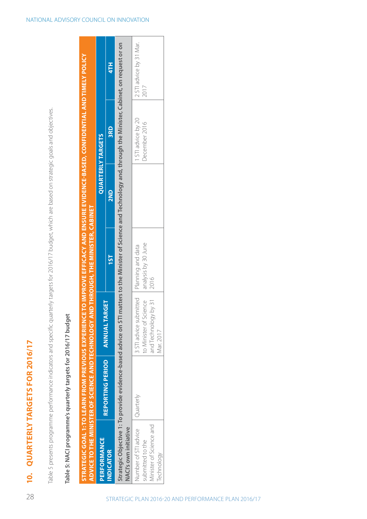QUARTERLY TARGETS FOR 2016/17 **10. Quarterly targets for 2016/17**  $\overline{10}$  Table 5 presents programme performance indicators and specific quarterly targets for 2016/17 budget, which are based on strategic goals and objectives. Table 5 presents programme performance indicators and specific quarterly targets for 2016/17 budget, which are based on strategic goals and objectives. **Strategic Goal 1: To learn from previous experience to improve efficacy and ensure evidence-based, confidential and timely policy** 

STRATEGIC GOAL 1: TO LEARN FROM PREVIOUS EXPERIENCE TO IMPROVE EFFICACY AND ENSURE EVIDENCE-BASED, CONFIDENTIAL AND TIMELY POLICY

# Table 5: NACI programme's quarterly targets for 2016/17 budget **Table 5: NACI programme's quarterly targets for 2016/17 budget**

|                         |                         |                                            | ADVICE TO THE MINISTER OF SCIENCE AND TECHNOLOGY AND THROUGH, THE MINISTER, CABINET                                                                                   |     |                          |                         |
|-------------------------|-------------------------|--------------------------------------------|-----------------------------------------------------------------------------------------------------------------------------------------------------------------------|-----|--------------------------|-------------------------|
| <b>PERFORMANCE</b>      |                         |                                            |                                                                                                                                                                       |     | <b>QUARTERLY TARGETS</b> |                         |
| <b>INDICATOR</b>        | <b>REPORTING PERIOD</b> | <b>ANNUALTARGET</b>                        | TST                                                                                                                                                                   | 2ND | 3RD                      | 47H                     |
| NACI's own initiative   |                         |                                            | Strategic Objective 1: To provide evidence-based advice on STI matters to the Minister of Science and Technology and, through the Minister, Cabinet, on request or on |     |                          |                         |
| Number of STI advice    | Quarterly               | 3 STI advice submitted   Planning and data |                                                                                                                                                                       |     | 1 STI advice by 20       | 2 STI advice by 31 Mar. |
| submitted to the        |                         | to Minister of Science                     | analysis by 30 June                                                                                                                                                   |     | December 2016            | 2017                    |
| Minister of Science and |                         | and Technology by 31 $\,$ 2016             |                                                                                                                                                                       |     |                          |                         |
| Technology              |                         | Mar. 2017                                  |                                                                                                                                                                       |     |                          |                         |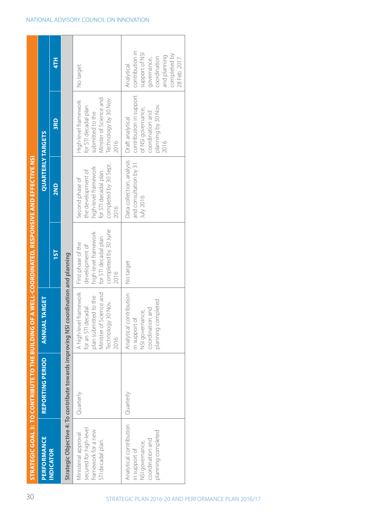|                                                                                                       | STRATEGIC GOAL 3: TO CONTRIBUTE TO THE BUILDING OF A WELL-COORDINATED, RESPONSIVE AND EFFECTIVE NSI |                                                                                                                                |                                                                                                                      |                                                                                                                        |                                                                                                                             |                                                                                                                                |
|-------------------------------------------------------------------------------------------------------|-----------------------------------------------------------------------------------------------------|--------------------------------------------------------------------------------------------------------------------------------|----------------------------------------------------------------------------------------------------------------------|------------------------------------------------------------------------------------------------------------------------|-----------------------------------------------------------------------------------------------------------------------------|--------------------------------------------------------------------------------------------------------------------------------|
| <b>PERFORMANCE</b>                                                                                    | <b>REPORTING PERIOD</b>                                                                             | <b>ANNUAL TARGET</b>                                                                                                           |                                                                                                                      | <b>QUARTERLY TARGETS</b>                                                                                               |                                                                                                                             |                                                                                                                                |
| <b>INDICATOR</b>                                                                                      |                                                                                                     |                                                                                                                                | <b>1ST</b>                                                                                                           | 2ND                                                                                                                    | 3RD                                                                                                                         | 4TH                                                                                                                            |
|                                                                                                       | Strategic Objective 4: To contribute towards improving NSI coordination and planning                |                                                                                                                                |                                                                                                                      |                                                                                                                        |                                                                                                                             |                                                                                                                                |
| secured for high-level<br>framework for a new<br>Ministerial approval<br>STI decadal plan.            | Quarterly                                                                                           | A high-level framework<br>Minister of Science and<br>plan submitted to the<br>Technology 30 Nov.<br>for an STI decadal<br>2016 | completed by 30 June<br>high-level framework<br>for STI decadal plan<br>First phase of the<br>development of<br>2016 | completed by 30 Sept.<br>high-level framework<br>the development of<br>for STI decadal plan<br>Second phase of<br>2016 | Technology by 30 Nov.<br>Minster of Science and<br>High-level framework<br>for STI decadal plan<br>submitted to the<br>2016 | No target                                                                                                                      |
| Analytical contribution<br>planning completed<br>coordination and<br>NSI governance,<br>in support of | Quarterly                                                                                           | Analytical contribution<br>planning completed<br>coordination and<br>NSI governance,<br>in support of                          | No target                                                                                                            | Data collection, analysis<br>and consultation by 31<br>July 2016                                                       | contribution in support<br>planning by 30 Nov.<br>of NSI governance,<br>coordination and<br>Draft analytical<br>2016        | contribution in<br>support of NSI<br>completed by<br>and planning<br>coordination<br>28 Feb. 2017<br>governance,<br>Analytical |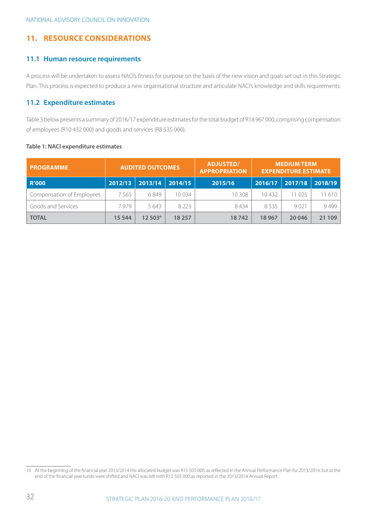#### **11. Resource Considerations**

#### **11.1 Human resource requirements**

A process will be undertaken to assess NACI's fitness for purpose on the basis of the new vision and goals set out in this Strategic Plan. This process is expected to produce a new organisational structure and articulate NACI's knowledge and skills requirements.

#### **11.2 Expenditure estimates**

Table 3 below presents a summary of 2016/17 expenditure estimates for the total budget of R18 967 000, comprising compensation of employees (R10 432 000) and goods and services (R8 535 000).

| <b>PROGRAMME</b>          |         | <b>ADJUSTED/</b><br><b>AUDITED OUTCOMES</b><br><b>APPROPRIATION</b> |         | <b>MEDIUM TERM</b><br><b>EXPENDITURE ESTIMATE</b> |         |         |         |
|---------------------------|---------|---------------------------------------------------------------------|---------|---------------------------------------------------|---------|---------|---------|
| <b>R'000</b>              | 2012/13 | 2013/14                                                             | 2014/15 | 2015/16                                           | 2016/17 | 2017/18 | 2018/19 |
| Compensation of Employees | 7565    | 6849                                                                | 10 0 34 | 10 308                                            | 10432   | 11 025  | 11610   |
| Goods and Services        | 7979    | 5643                                                                | 8 2 2 3 | 8434                                              | 8535    | 9021    | 9499    |
| <b>TOTAL</b>              | 15 5 44 | 12 503 <sup>6</sup>                                                 | 18 257  | 18742                                             | 18967   | 20 04 6 | 21 109  |

#### **Table 1: NACI expenditure estimates**

<sup>10</sup> At the beginning of the financial year 2013/2014 the allocated budget was R15 503 000, as reflected in the Annual Performance Plan for 2013/2014, but at the end of the financial year funds were shifted and NACI was left with R12 503 000 as reported in the 2013/2014 Annual Report.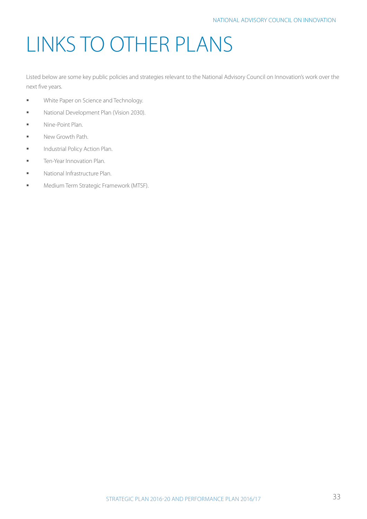# LINKS TO OTHER PLANS

Listed below are some key public policies and strategies relevant to the National Advisory Council on Innovation's work over the next five years.

- **White Paper on Science and Technology.**
- National Development Plan (Vision 2030).
- **■** Nine-Point Plan.
- New Growth Path.
- **■** Industrial Policy Action Plan.
- **■** Ten-Year Innovation Plan.
- § National Infrastructure Plan.
- **■** Medium Term Strategic Framework (MTSF).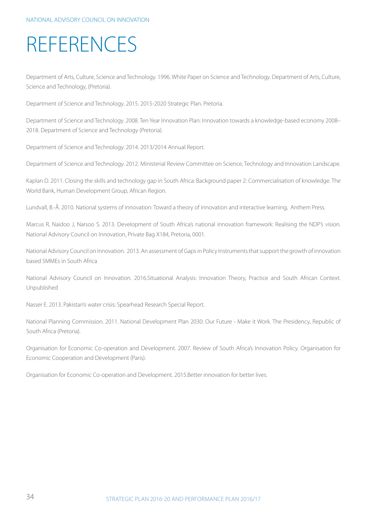## REFERENCES

Department of Arts, Culture, Science and Technology. 1996. White Paper on Science and Technology. Department of Arts, Culture, Science and Technology, (Pretoria).

Department of Science and Technology. 2015. 2015-2020 Strategic Plan. Pretoria.

Department of Science and Technology. 2008. Ten Year Innovation Plan: Innovation towards a knowledge-based economy 2008– 2018. Department of Science and Technology (Pretoria).

Department of Science and Technology. 2014. 2013/2014 Annual Report.

Department of Science and Technology. 2012. Ministerial Review Committee on Science, Technology and Innovation Landscape.

Kaplan D. 2011. Closing the skills and technology gap in South Africa: Background paper 2: Commercialisation of knowledge. The World Bank, Human Development Group, African Region.

Lundvall, B.-Å. 2010. National systems of innovation: Toward a theory of innovation and interactive learning, Anthem Press.

Marcus R, Naidoo J, Narsoo S. 2013. Development of South Africa's national innovation framework: Realising the NDP's vision. National Advisory Council on Innovation, Private Bag X184, Pretoria, 0001.

National Advisory Council on Innovation. 2013. An assessment of Gaps in Policy Instruments that support the growth of innovation based SMMEs in South Africa

National Advisory Council on Innovation. 2016.Situational Analysis: Innovation Theory, Practice and South African Context. Unpublished

Nasser E. 2013. Pakistan's water crisis: Spearhead Research Special Report.

National Planning Commission. 2011. National Development Plan 2030: Our Future - Make it Work. The Presidency, Republic of South Africa (Pretoria).

Organisation for Economic Co-operation and Development. 2007. Review of South Africa's Innovation Policy. Organisation for Economic Cooperation and Development (Paris).

Organisation for Economic Co-operation and Development. 2015.Better innovation for better lives.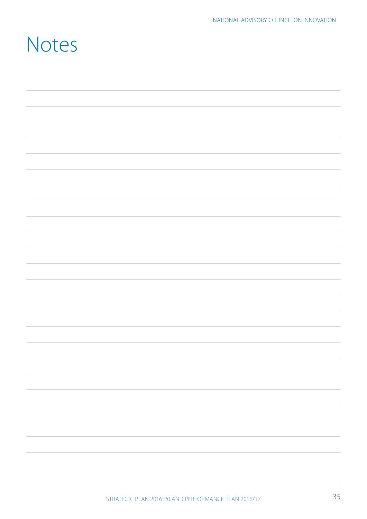## Notes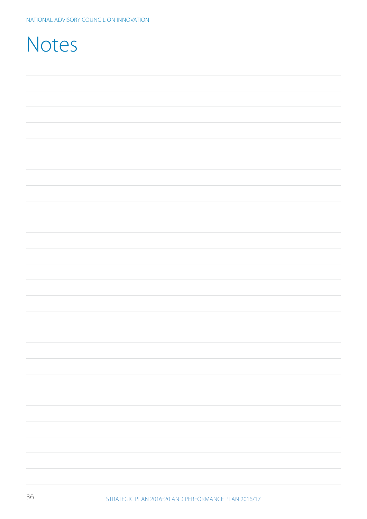| Notes |  |  |
|-------|--|--|
|       |  |  |
|       |  |  |
|       |  |  |
|       |  |  |
|       |  |  |
|       |  |  |
|       |  |  |
|       |  |  |
|       |  |  |
|       |  |  |
|       |  |  |
|       |  |  |
|       |  |  |
|       |  |  |
|       |  |  |
|       |  |  |
|       |  |  |
|       |  |  |
|       |  |  |
|       |  |  |
|       |  |  |
|       |  |  |
|       |  |  |